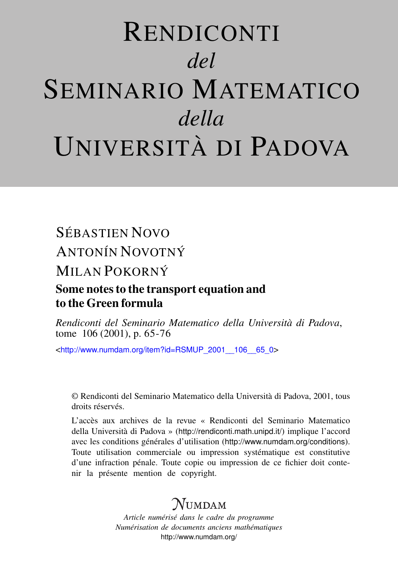# RENDICONTI *del* SEMINARIO MATEMATICO *della* UNIVERSITÀ DI PADOVA

# SÉBASTIEN NOVO ANTONÍN NOVOTNÝ MILAN POKORNÝ

## Some notes to the transport equation and to the Green formula

*Rendiconti del Seminario Matematico della Università di Padova*, tome 106 (2001), p. 65-76

<[http://www.numdam.org/item?id=RSMUP\\_2001\\_\\_106\\_\\_65\\_0](http://www.numdam.org/item?id=RSMUP_2001__106__65_0)>

© Rendiconti del Seminario Matematico della Università di Padova, 2001, tous droits réservés.

L'accès aux archives de la revue « Rendiconti del Seminario Matematico della Università di Padova » (<http://rendiconti.math.unipd.it/>) implique l'accord avec les conditions générales d'utilisation (<http://www.numdam.org/conditions>). Toute utilisation commerciale ou impression systématique est constitutive d'une infraction pénale. Toute copie ou impression de ce fichier doit contenir la présente mention de copyright.

## $N$ umdam

*Article numérisé dans le cadre du programme Numérisation de documents anciens mathématiques* <http://www.numdam.org/>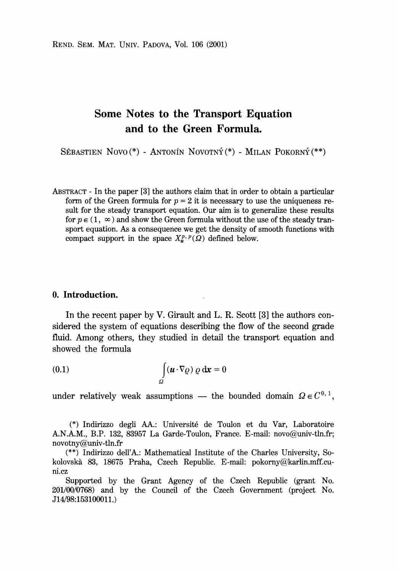## Some Notes to the Transport Equation and to the Green Formula.

SÉBASTIEN NOVO (\*) - ANTONÍN NOVOTNÝ (\*) - MILAN POKORNÝ (\*\*)

ABSTRACT - In the paper [3] the authors claim that in order to obtain a particular form of the Green formula for  $p = 2$  it is necessary to use the uniqueness result for the steady transport equation. Our aim is to generalize these results for  $p \in (1, \infty)$  and show the Green formula without the use of the steady transport equation. As a consequence we get the density of smooth functions with compact support in the space  $X_{\mathbf{u}}^{p, p}(\Omega)$  defined below.

#### 0. Introduction.

In the recent paper by V. Girault and L. R. Scott [3] the authors considered the system of equations describing the flow of the second grade fluid. Among others, they studied in detail the transport equation and showed the formula

$$
\int_{\Omega} (\boldsymbol{u} \cdot \nabla \varrho) \, \varrho \, \mathrm{d} \mathbf{x} = 0
$$

under relatively weak assumptions — the bounded domain  $\Omega \in C^{0,1}$ ,

(\*) Indirizzo degli AA.: Université de Toulon et du Var, Laboratoire A.N.A.M., B.P. 132, 83957 La Garde-Toulon, France. E-mail: novo@univ-tln.fr; novotny@univ-tln.fr

(\*\*) Indirizzo dell'A.: Mathematical Institute of the Charles University, Sokolovska 83, 18675 Praha, Czech Republic. E-mail: pokorny@karlin.mff.cuni.cz

Supported by the Grant Agency of the Czech Republic (grant No. 201/00/0768) and by the Council of the Czech Government (project No. J 14/98:153100011. )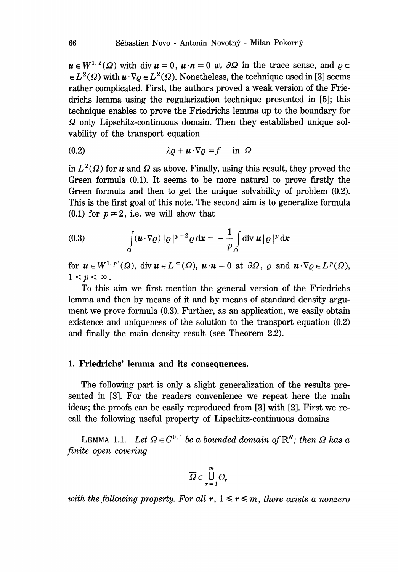$u \in W^{1,2}(\Omega)$  with div  $u = 0$ ,  $u \cdot n = 0$  at  $\partial \Omega$  in the trace sense, and  $\rho \in$  $\in L^2(\Omega)$  with  $\mathbf{u} \cdot \nabla \varrho \in L^2(\Omega)$ . Nonetheless, the technique used in [3] seems rather complicated. First, the authors proved a weak version of the Friedrichs lemma using the regularization technique presented in [5]; this technique enables to prove the Friedrichs lemma up to the boundary for  $\Omega$  only Lipschitz-continuous domain. Then they established unique solvability of the transport equation

$$
\lambda \varrho + \mathbf{u} \cdot \nabla \varrho = f \quad \text{in } \Omega
$$

in  $L^2(\Omega)$  for u and  $\Omega$  as above. Finally, using this result, they proved the Green formula (0.1). It seems to be more natural to prove firstly the Green formula and then to get the unique solvability of problem (0.2). This is the first goal of this note. The second aim is to generalize formula (0.1) for  $p \neq 2$ , i.e. we will show that

(0.3) 
$$
\int_{\Omega} (\boldsymbol{u} \cdot \nabla \varrho) | \varrho |^{p-2} \varrho \, \mathrm{d} \mathbf{x} = -\frac{1}{p} \int_{\Omega} \mathrm{div} \, \boldsymbol{u} | \varrho |^{p} \, \mathrm{d} \mathbf{x}
$$

for  $u \in W^{1,p'}(\Omega)$ , div  $u \in L^{\infty}(\Omega)$ ,  $u \cdot n = 0$  at  $\partial \Omega$ ,  $\rho$  and  $u \cdot \nabla \rho \in L^p(\Omega)$ ,  $1 < p < \infty$ .

To this aim we first mention the general version of the Friedrichs lemma and then by means of it and by means of standard density argument we prove formula (0.3). Further, as an application, we easily obtain existence and uniqueness of the solution to the transport equation (0.2) and finally the main density result (see Theorem 2.2).

#### 1. Friedrichs' lemma and its consequences.

The following part is only a slight generalization of the results presented in [3]. For the readers convenience we repeat here the main ideas; the proofs can be easily reproduced from [3] with [2]. First we recall the following useful property of Lipschitz-continuous domains

LEMMA 1.1. Let  $\Omega \in C^{0,1}$  be a bounded domain of  $\mathbb{R}^N$ ; then  $\Omega$  has a finite open covering

$$
\overline{\Omega}\subset \bigcup_{r=1}^m \mathcal{O}_r
$$

with the following property. For all  $r, 1 \le r \le m$ , there exists a nonzero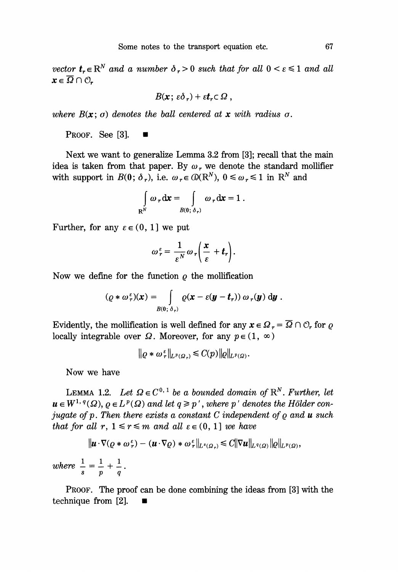vector  $t_r \in \mathbb{R}^N$  and a number  $\delta_r > 0$  such that for all  $0 \leq \varepsilon \leq 1$  and all  $x \in \overline{\Omega} \cap \mathcal{O}_r$ 

$$
B(\mathbf{x};\,\varepsilon\delta_{r})+\varepsilon\mathbf{t}_{r}\in\Omega\;,
$$

where  $B(x; \sigma)$  denotes the ball centered at x with radius  $\sigma$ .

PROOF. See [3].

Next we want to generalize Lemma 3.2 from [3]; recall that the main idea is taken from that paper. By  $\omega_r$  we denote the standard mollifier with support in  $B(0; \delta_r)$ , i.e.  $\omega_r \in O(\mathbb{R}^N)$ ,  $0 \leq \omega_r \leq 1$  in  $\mathbb{R}^N$  and

$$
\int\limits_{\mathbf{R}^N}\omega_r\,\mathrm{d}\mathbf{x}=\int\limits_{B(0;\,\delta_r)}\omega_r\,\mathrm{d}\mathbf{x}=1\ .
$$

Further, for any  $\varepsilon \in (0, 1]$  we put

$$
\omega_r^{\varepsilon} = \frac{1}{\varepsilon^N} \omega_r \bigg( \frac{x}{\varepsilon} + t_r \bigg).
$$

Now we define for the function  $\rho$  the mollification

 $\mathbf{r}$ 

$$
(\varrho * \omega_r^{\varepsilon})(x) = \int\limits_{B(0;\,\delta_r)} \varrho(x - \varepsilon(y - t_r)) \omega_r(y) \, \mathrm{d}y.
$$

Evidently, the mollification is well defined for any  $\mathbf{x} \in \Omega_r = \overline{\Omega} \cap \mathcal{O}_r$  for  $\rho$ locally integrable over  $\Omega$ . Moreover, for any  $p \in (1, \infty)$ 

$$
\|\varrho*\omega_r^{\varepsilon}\|_{L^p(\Omega_r)} \leq C(p) \|\varrho\|_{L^p(\Omega)}.
$$

Now we have

LEMMA 1.2. Let  $\Omega \in C^{0,1}$  be a bounded domain of  $\mathbb{R}^N$ . Further, let  $u \in W^{1, q}(\Omega)$ ,  $\rho \in L^p(\Omega)$  and let  $q \geq p'$ , where p' denotes the Hölder conjugate of  $p$ . Then there exists a constant C independent of  $\varrho$  and  $\boldsymbol{u}$  such that for all r,  $1 \le r \le m$  and all  $\varepsilon \in (0, 1]$  we have

$$
\|\boldsymbol{u}\cdot\nabla(\varrho*\omega_r^\varepsilon)-(\boldsymbol{u}\cdot\nabla\varrho)*\omega_r^\varepsilon\|_{L^s(\Omega_r)}\leq C\|\nabla\boldsymbol{u}\|_{L^q(\Omega)}\|\varrho\|_{L^p(\Omega)},
$$

where  $\frac{1}{s} = \frac{1}{p} + \frac{1}{q}$ .

PROOF. The proof can be done combining the ideas from [3] with the technique from [2].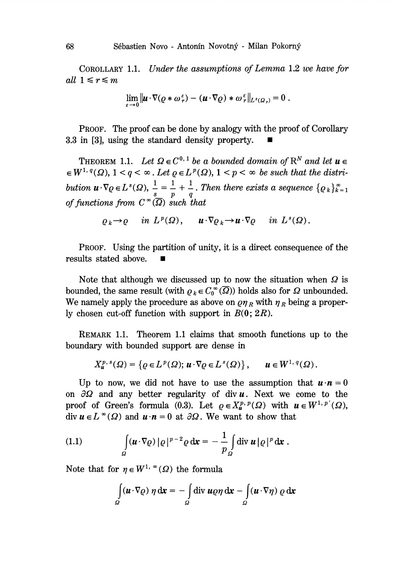COROLLARY 1.1. Under the assumptions of Lemma 1.2 we have for all  $1 \leq r \leq m$ 

$$
\lim_{\varepsilon\to 0} \|\boldsymbol{u}\cdot\nabla(\varrho*\omega_r^{\varepsilon})-(\boldsymbol{u}\cdot\nabla\varrho)*\omega_r^{\varepsilon}\|_{L^s(\Omega_r)}=0.
$$

PROOF. The proof can be done by analogy with the proof of Corollary 3.3 in [3], using the standard density property.

THEOREM 1.1. Let  $\Omega \in C^{0,1}$  be a bounded domain of  $\mathbb{R}^N$  and let  $u \in$  $\in W^{1, q}(\Omega)$ ,  $1 < q < \infty$ . Let  $\rho \in L^p(\Omega)$ ,  $1 < p < \infty$  be such that the distribution  $\boldsymbol{u} \cdot \nabla \varrho \in L^s(\Omega)$ ,  $\frac{1}{s} = \frac{1}{n} + \frac{1}{q}$ . Then there exists a sequence  $\{\varrho_k\}_{k=1}^{\infty}$ of functions from  $C^{\infty}(\overline{\Omega})$  such that

$$
\varrho_k \to \varrho
$$
 in  $L^p(\Omega)$ ,  $\mathbf{u} \cdot \nabla \varrho_k \to \mathbf{u} \cdot \nabla \varrho$  in  $L^s(\Omega)$ .

PROOF. Using the partition of unity, it is a direct consequence of the results stated above.

Note that although we discussed up to now the situation when  $\Omega$  is bounded, the same result (with  $\varrho_k \in C_0^\infty(\overline{\Omega})$ ) holds also for  $\Omega$  unbounded. We namely apply the procedure as above on  $\varrho\eta_R$  with  $\eta_R$  being a properly chosen cut-off function with support in  $B(0; 2R)$ .

REMARK 1.1. Theorem 1.1 claims that smooth functions up to the boundary with bounded support are dense in

$$
X_{\mathbf{u}}^{p,\,s}(\Omega)=\left\{\varrho\in L^{\,p}(\Omega);\,\mathbf{u}\cdot\nabla\varrho\in L^{\,s}(\Omega)\right\},\qquad\mathbf{u}\in W^{1,\,q}(\Omega)\,.
$$

Up to now, we did not have to use the assumption that  $\mathbf{u} \cdot \mathbf{n} = 0$ on  $\partial\Omega$  and any better regularity of div u. Next we come to the proof of Green's formula (0.3). Let  $\rho \in X_n^{p, p}(\Omega)$  with  $u \in W^{1, p'}(\Omega)$ , div  $u \in L^{\infty}(\Omega)$  and  $u \cdot n = 0$  at  $\partial \Omega$ . We want to show that

(1.1) 
$$
\int_{\Omega} (\boldsymbol{u} \cdot \nabla \varrho) | \varrho |^{p-2} \varrho \, \mathrm{d} \mathbf{x} = -\frac{1}{p} \int_{\Omega} \mathrm{div} \, \boldsymbol{u} | \varrho |^{p} \, \mathrm{d} \mathbf{x}.
$$

Note that for  $\eta \in W^{1, \infty}(\Omega)$  the formula

$$
\int_{\Omega} (\boldsymbol{u} \cdot \nabla \varrho) \, \eta \, \mathrm{d} \mathbf{x} = -\int_{\Omega} \mathrm{div} \, \boldsymbol{u} \varrho \eta \, \mathrm{d} \mathbf{x} - \int_{\Omega} (\boldsymbol{u} \cdot \nabla \eta) \, \varrho \, \mathrm{d} \mathbf{x}
$$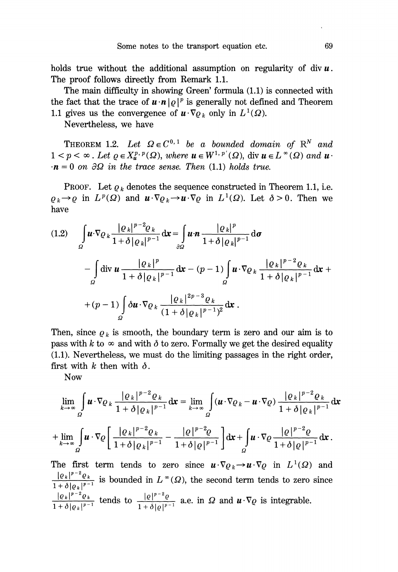holds true without the additional assumption on regularity of div $\boldsymbol{u}$ . The proof follows directly from Remark 1.1.

The main difficulty in showing Green' formula (1.1) is connected with the fact that the trace of  $\mathbf{u} \cdot \mathbf{n} |\varrho|^p$  is generally not defined and Theorem 1.1 gives us the convergence of  $\mathbf{u} \cdot \nabla \varrho_k$  only in  $L^1(\Omega)$ .

Nevertheless, we have

THEOREM 1.2. Let  $\Omega \in C^{0,1}$  be a bounded domain of  $\mathbb{R}^N$  and  $1 < p < \infty$ . Let  $\rho \in X_n^{p,\,p}(\Omega)$ , where  $u \in W^{1,\,p'}(\Omega)$ , div  $u \in L^{\infty}(\Omega)$  and  $u \cdot$  $\cdot$ **n** = 0 on  $\partial\Omega$  in the trace sense. Then (1.1) holds true.

PROOF. Let  $\rho_k$  denotes the sequence constructed in Theorem 1.1, i.e.  $\rho_k \rightarrow \rho$  in  $L^p(\Omega)$  and  $\mathbf{u} \cdot \nabla \rho_k \rightarrow \mathbf{u} \cdot \nabla \rho$  in  $L^1(\Omega)$ . Let  $\delta > 0$ . Then we have

$$
(1.2) \quad \int_{\Omega} \boldsymbol{u} \cdot \nabla_{Q_k} \frac{|\varrho_k|^{p-2} \varrho_k}{1+\delta |\varrho_k|^{p-1}} d\mathbf{x} = \int_{\partial \Omega} \boldsymbol{u} \cdot \boldsymbol{n} \frac{|\varrho_k|^{p}}{1+\delta |\varrho_k|^{p-1}} d\sigma
$$

$$
- \int_{\Omega} \operatorname{div} \boldsymbol{u} \frac{|\varrho_k|^{p}}{1+\delta |\varrho_k|^{p-1}} d\mathbf{x} - (p-1) \int_{\Omega} \boldsymbol{u} \cdot \nabla_{Q_k} \frac{|\varrho_k|^{p-2} \varrho_k}{1+\delta |\varrho_k|^{p-1}} d\mathbf{x} +
$$

$$
+ (p-1) \int_{\Omega} \delta \boldsymbol{u} \cdot \nabla_{Q_k} \frac{|\varrho_k|^{2p-3} \varrho_k}{(1+\delta |\varrho_k|^{p-1})^2} d\mathbf{x}.
$$

Then, since  $q_k$  is smooth, the boundary term is zero and our aim is to pass with k to  $\infty$  and with  $\delta$  to zero. Formally we get the desired equality (1.1). Nevertheless, we must do the limiting passages in the right order, first with k then with  $\delta$ .

Now

$$
\lim_{k \to \infty} \int_{\Omega} \boldsymbol{u} \cdot \nabla \varrho_k \, \frac{|\varrho_k|^{p-2} \varrho_k}{1 + \delta |\varrho_k|^{p-1}} \, \mathrm{d} \boldsymbol{x} = \lim_{k \to \infty} \int_{\Omega} (\boldsymbol{u} \cdot \nabla \varrho_k - \boldsymbol{u} \cdot \nabla \varrho) \, \frac{|\varrho_k|^{p-2} \varrho_k}{1 + \delta |\varrho_k|^{p-1}} \, \mathrm{d} \boldsymbol{x}
$$
\n
$$
+ \lim_{k \to \infty} \int_{\Omega} \boldsymbol{u} \cdot \nabla \varrho \left[ \frac{|\varrho_k|^{p-2} \varrho_k}{1 + \delta |\varrho_k|^{p-1}} - \frac{|\varrho|^{p-2} \varrho}{1 + \delta |\varrho|^{p-1}} \right] \mathrm{d} \boldsymbol{x} + \int_{\Omega} \boldsymbol{u} \cdot \nabla \varrho \, \frac{|\varrho|^{p-2} \varrho}{1 + \delta |\varrho|^{p-1}} \, \mathrm{d} \boldsymbol{x} \, .
$$

The first term tends to zero since  $\mathbf{u} \cdot \nabla \varrho_k \to \mathbf{u} \cdot \nabla \varrho$  in  $L^1(\Omega)$  and  $\frac{|Q_k|^{p-2}Q_k}{1+\delta|Q_k|^{p-1}}$  is bounded in  $L^{\infty}(\Omega)$ , the second term tends to zero since  $\frac{|Q_k|^{p-2}Q_k}{1+\delta|Q_k|^{p-1}}$  tends to  $\frac{|Q|^{p-2}Q}{1+\delta|Q|^{p-1}}$  a.e. in  $\Omega$  and  $u \cdot \nabla Q$  is integrable.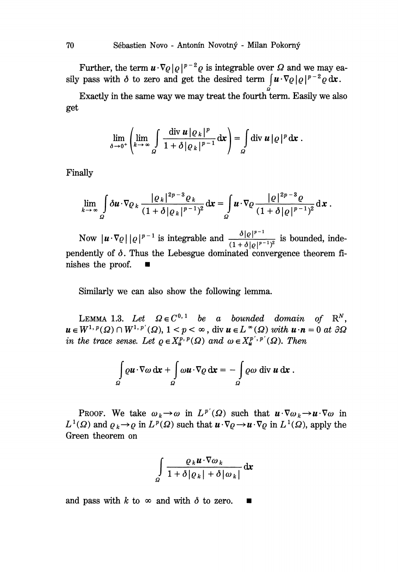Further, the term  $\mathbf{u} \cdot \nabla \varrho |\varrho|^{p-2} \varrho$  is integrable over  $\varOmega$  and we may easily pass with  $\delta$  to zero and get the desired term  $\int u \cdot \nabla \varrho |\varrho|^{p-2} \varrho dx$ .

Exactly in the same way we may treat the fourth term. Easily we also get

$$
\lim_{\delta \to 0^+} \left( \lim_{k \to \infty} \int \frac{\operatorname{div} \boldsymbol{u} |\varrho_k|^p}{1 + \delta |\varrho_k|^{p-1}} \, \mathrm{d} \mathbf{x} \right) = \int_{\Omega} \operatorname{div} \boldsymbol{u} |\varrho|^p \, \mathrm{d} \mathbf{x} .
$$

Finally

$$
\lim_{k\to\infty}\int_{\Omega}\delta\boldsymbol{u}\cdot\nabla_{Q_k}\frac{|\varrho_k|^{2p-3}\varrho_k}{(1+\delta|\varrho_k|^{p-1})^2}\mathrm{d}\boldsymbol{x}=\int_{\Omega}\boldsymbol{u}\cdot\nabla_{Q}\frac{|\varrho|^{2p-3}\varrho}{(1+\delta|\varrho|^{p-1})^2}\mathrm{d}\boldsymbol{x}.
$$

Now  $|\boldsymbol{u} \cdot \nabla \varrho| |\varrho|^{p-1}$  is integrable and  $\frac{\delta |\varrho|^{p-1}}{(1+\delta |\varrho|^{p-1})^2}$  is bounded, independently of  $\delta$ . Thus the Lebesgue dominated convergence theorem finishes the proof.

Similarly we can also show the following lemma.

LEMMA 1.3. Let  $\Omega \in C^{0,1}$  be a bounded domain of  $\mathbb{R}^N$ ,  $u \in W^{1, p}(\Omega) \cap W^{1, p'}(\Omega)$ ,  $1 < p < \infty$ , div  $u \in L^{\infty}(\Omega)$  with  $u \cdot n = 0$  at  $\partial \Omega$ in the trace sense. Let  $\rho \in X_n^{p, p}(\Omega)$  and  $\omega \in X_n^{p', p'}(\Omega)$ . Then

$$
\int_{\Omega} \varrho \boldsymbol{u} \cdot \nabla \omega \, \mathrm{d} \mathbf{x} + \int_{\Omega} \omega \boldsymbol{u} \cdot \nabla \varrho \, \mathrm{d} \mathbf{x} = - \int_{\Omega} \varrho \omega \, \mathrm{div} \, \boldsymbol{u} \, \mathrm{d} \mathbf{x}.
$$

PROOF. We take  $\omega_k \to \omega$  in  $L^{p'}(Q)$  such that  $\mathbf{u} \cdot \nabla \omega_k \to \mathbf{u} \cdot \nabla \omega$  in  $L^1(\Omega)$  and  $\varrho_k \to \varrho$  in  $L^p(\Omega)$  such that  $\mathbf{u} \cdot \nabla \varrho \to \mathbf{u} \cdot \nabla \varrho$  in  $L^1(\Omega)$ , apply the Green theorem on

$$
\int_{\Omega} \frac{\varrho_k \boldsymbol{u} \cdot \nabla \omega_k}{1 + \delta |\varrho_k| + \delta |\omega_k|} \,\mathrm{d} \mathbf{x}
$$

and pass with k to  $\infty$  and with  $\delta$  to zero.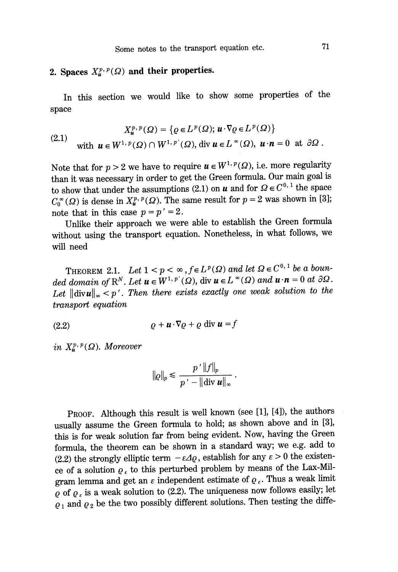### 2. Spaces  $X_{\mu}^{p, p}(\Omega)$  and their properties.

In this section we would like to show some properties of the space

$$
X^{p,\,p}_{\boldsymbol{u}}(\Omega) = \{ \varrho \in L^p(\Omega); \, \boldsymbol{u} \cdot \nabla \varrho \in L^p(\Omega) \}
$$
\n(2.1)

\n
$$
\text{with } \boldsymbol{u} \in W^{1,\,p}(\Omega) \cap W^{1,\,p'}(\Omega), \text{div } \boldsymbol{u} \in L^\infty(\Omega), \, \boldsymbol{u} \cdot \boldsymbol{n} = 0 \text{ at } \partial \Omega \, .
$$

Note that for  $p > 2$  we have to require  $u \in W^{1, p}(Q)$ , i.e. more regularity than it was necessary in order to get the Green formula. Our main goal is to show that under the assumptions (2.1) on  $u$  and for  $\Omega \in C^{0, 1}$  the space  $C_0^{\infty}(\Omega)$  is dense in  $X_{\mu}^{p, p}(\Omega)$ . The same result for  $p = 2$  was shown in [3]; note that in this case  $p = p' = 2$ .

Unlike their approach we were able to establish the Green formula without using the transport equation. Nonetheless, in what follows, we will need

THEOREM 2.1. Let  $1 < p < \infty$ ,  $f \in L^p(\Omega)$  and let  $\Omega \in C^{0,1}$  be a bounded domain of  $\mathbb{R}^N$ . Let  $\mathbf{u} \in W^{1, p'}(\Omega)$ , div  $\mathbf{u} \in L^{\infty}(\Omega)$  and  $\mathbf{u} \cdot \mathbf{n} = 0$  at  $\partial \Omega$ . Let  $\|\text{div}\mathbf{u}\|_{\infty} < p'$ . Then there exists exactly one weak solution to the transport equation

$$
(2.2) \t\t\t\t\t\t\varrho + \boldsymbol{u} \cdot \nabla \varrho + \varrho \text{ div } \boldsymbol{u} = f
$$

in  $X_{\mu}^{p,\,p}(\Omega)$ . Moreover

$$
\|\varrho\|_p \leqslant \frac{p'\, \|f\|_p}{p'\, -\, \|\text{div}\,\mathbf{u}\|_\infty}\, .
$$

PROOF. Although this result is well known (see [1], [4]), the authors usually assume the Green formula to hold; as shown above and in [3], this is for weak solution far from being evident. Now, having the Green formula, the theorem can be shown in a standard way; we e.g. add to (2.2) the strongly elliptic term  $-\varepsilon \Delta \varrho$ , establish for any  $\varepsilon > 0$  the existence of a solution  $\varrho_{\varepsilon}$  to this perturbed problem by means of the Lax-Milgram lemma and get an  $\varepsilon$  independent estimate of  $\rho_{\varepsilon}$ . Thus a weak limit  $Q$  of  $Q_{\varepsilon}$  is a weak solution to (2.2). The uniqueness now follows easily; let  $\varrho_1$  and  $\varrho_2$  be the two possibly different solutions. Then testing the diffe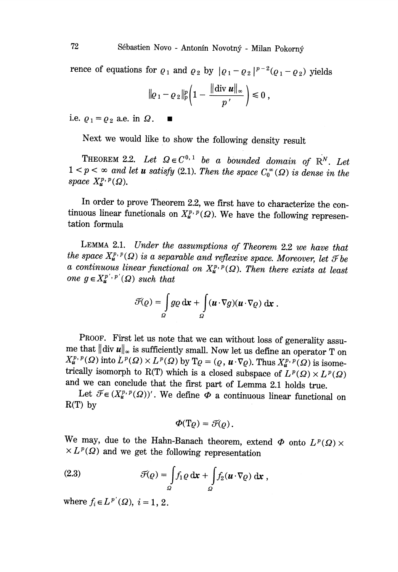rence of equations for  $\rho_1$  and  $\rho_2$  by  $|\rho_1 - \rho_2|^{p-2}(\rho_1 - \rho_2)$  yields

$$
\|\varrho_1-\varrho_2\|_p^p\bigg(1-\frac{\|\text{div } \pmb{u}\|_{\infty}}{p'}\bigg)\leq 0,
$$

i.e.  $\rho_1 = \rho_2$  a.e. in  $\Omega$ .

Next we would like to show the following density result

THEOREM 2.2. Let  $\Omega \in C^{0,1}$  be a bounded domain of  $\mathbb{R}^N$ . Let  $1 < p < \infty$  and let **u** satisfy (2.1). Then the space  $C_0^{\infty}(\Omega)$  is dense in the space  $X^{p, p}_{u}(\Omega)$ .

In order to prove Theorem 2.2, we first have to characterize the continuous linear functionals on  $X^{p, p}_u(\Omega)$ . We have the following representation formula

LEMMA 2.1. Under the assumptions of Theorem 2.2 we have that the space  $X_n^{p, p}(\Omega)$  is a separable and reflexive space. Moreover, let  $\mathcal F$  be a continuous linear functional on  $X^{p, p}_{u}(\Omega)$ . Then there exists at least one  $g \in X_u^{p',p'}(\Omega)$  such that

$$
\mathcal{F}(\varrho) = \int_{\varOmega} g \varrho \, \mathrm{d} \mathbf{x} + \int_{\varOmega} (\boldsymbol{u} \cdot \nabla g) (\boldsymbol{u} \cdot \nabla \varrho) \, \mathrm{d} \mathbf{x}.
$$

PROOF. First let us note that we can without loss of generality assume that  $\|\text{div } \mathbf{u}\|_{\infty}$  is sufficiently small. Now let us define an operator T on  $X_{\mathbf{u}}^{p, p}(\Omega)$  into  $L^p(\Omega) \times L^p(\Omega)$  by  $T_Q = (Q, \mathbf{u} \cdot \nabla Q)$ . Thus  $X_{\mathbf{u}}^{p, p}(\Omega)$  is isometrically isomorph to R(T) which is a closed subspace of  $L^p(\Omega) \times L^p(\Omega)$ and we can conclude that the first part of Lemma 2.1 holds true.

Let  $\mathcal{F} \in (X^{p,\,p}_{\boldsymbol{u}}(\Omega))'$ . We define  $\Phi$  a continuous linear functional on  $R(T)$  by

$$
\Phi(\mathrm{T}\varrho)=\mathcal{F}(\varrho).
$$

We may, due to the Hahn-Banach theorem, extend  $\Phi$  onto  $L^p(\Omega)$  ×  $\times L^p(\Omega)$  and we get the following representation

(2.3) 
$$
\mathcal{F}(\varrho) = \int_{\Omega} f_1 \varrho \, \mathrm{d} \mathbf{x} + \int_{\Omega} f_2(u \cdot \nabla \varrho) \, \mathrm{d} \mathbf{x},
$$

where  $f_i \in L^{p'}(Q)$ ,  $i = 1, 2$ .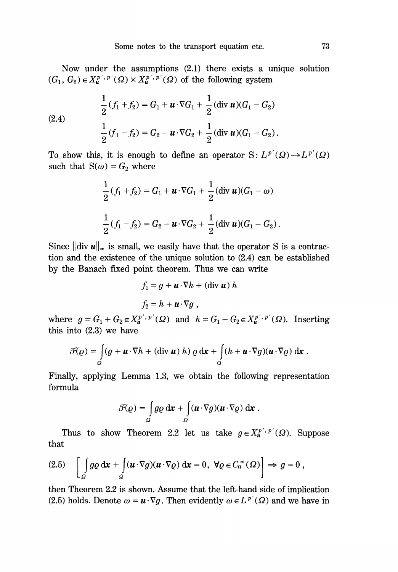Now under the assumptions (2.1) there exists a unique solution  $(G_1, G_2) \in X_u^{p', p'}(\Omega) \times X_u^{p', p'}(\Omega)$  of the following system

(2.4) 
$$
\frac{1}{2}(f_1 + f_2) = G_1 + \mathbf{u} \cdot \nabla G_1 + \frac{1}{2}(\text{div } \mathbf{u})(G_1 - G_2)
$$

$$
\frac{1}{2}(f_1 - f_2) = G_2 - \mathbf{u} \cdot \nabla G_2 + \frac{1}{2}(\text{div } \mathbf{u})(G_1 - G_2).
$$

To show this, it is enough to define an operator  $S: L^{p'}(Q) \to L^{p'}(Q)$ such that  $S(\omega) = G_2$  where

$$
\frac{1}{2}(f_1 + f_2) = G_1 + \mathbf{u} \cdot \nabla G_1 + \frac{1}{2} (\text{div } \mathbf{u})(G_1 - \omega)
$$
  

$$
\frac{1}{2}(f_1 - f_2) = G_2 - \mathbf{u} \cdot \nabla G_2 + \frac{1}{2} (\text{div } \mathbf{u})(G_1 - G_2).
$$

Since  $\|\text{div } \mathbf{u}\|_{\infty}$  is small, we easily have that the operator S is a contraction and the existence of the unique solution to (2.4) can be established by the Banach fixed point theorem. Thus we can write

$$
f_1 = g + \mathbf{u} \cdot \nabla h + (\text{div } \mathbf{u}) h
$$

$$
f_2 = h + \mathbf{u} \cdot \nabla g ,
$$

where  $g = G_1 + G_2 \in X_\mathbf{u}^{p',p'}(\Omega)$  and  $h = G_1 - G_2 \in X_\mathbf{u}^{p',p'}(\Omega)$ . Inserting this into (2.3) we have

$$
\mathcal{F}(\varrho) = \int_{\Omega} (g + \boldsymbol{u} \cdot \nabla h + (\text{div } \boldsymbol{u}) h) \varrho \, \mathrm{d} \mathbf{x} + \int_{\Omega} (h + \boldsymbol{u} \cdot \nabla g)(\boldsymbol{u} \cdot \nabla \varrho) \, \mathrm{d} \mathbf{x}.
$$

Finally, applying Lemma 1.3, we obtain the following representation formula

$$
\mathcal{F}(\varrho) = \int_{\varOmega} g \varrho \, \mathrm{d} \mathbf{x} + \int_{\varOmega} (\boldsymbol{u} \cdot \nabla g) (\boldsymbol{u} \cdot \nabla \varrho) \, \mathrm{d} \mathbf{x} \; .
$$

Thus to show Theorem 2.2 let us take  $g \in X_{\mu}^{p',p'}(\Omega)$ . Suppose that

(2.5) 
$$
\left[\int_{\Omega} g \varrho \, \mathrm{d} \mathbf{x} + \int_{\Omega} (\mathbf{u} \cdot \nabla g)(\mathbf{u} \cdot \nabla \varrho) \, \mathrm{d} \mathbf{x} = 0, \ \forall \varrho \in C_0^{\infty}(\Omega) \right] \Rightarrow g = 0,
$$

then Theorem 2.2 is shown. Assume that the left-hand side of implication (2.5) holds. Denote  $\omega = \mathbf{u} \cdot \nabla g$ . Then evidently  $\omega \in L^{p'}(\Omega)$  and we have in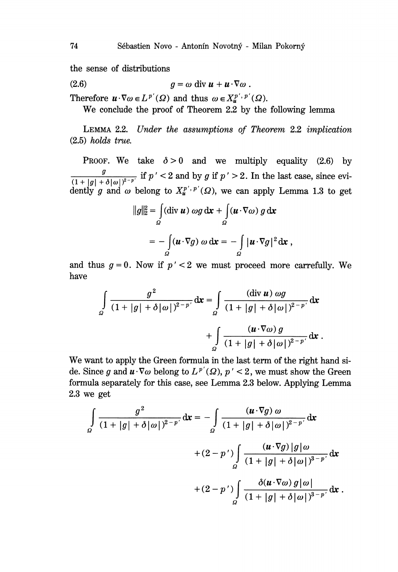the sense of distributions

$$
(2.6) \t\t\t g = \omega \operatorname{div} \boldsymbol{u} + \boldsymbol{u} \cdot \nabla \omega .
$$

Therefore  $\mathbf{u} \cdot \nabla \omega \in L^{p'}(\Omega)$  and thus  $\omega \in X_n^{p',p'}(\Omega)$ .

We conclude the proof of Theorem 2.2 by the following lemma

LEMMA 2.2. Under the assumptions of Theorem 2.2 implication (2.5) holds true.

PROOF. We take  $\delta > 0$  and we multiply equality (2.6) by  $\frac{1}{(2)^{2-p}}$  if  $p' < 2$  and by g if  $p' > 2$ . In the last case, since evidently g and  $\omega$  belong to  $X^{p',p'}_u(\Omega)$ , we can apply Lemma 1.3 to get

$$
||g||_2^2 = \int_{\Omega} (\text{div } \mathbf{u}) \, \omega g \, \text{d}\mathbf{x} + \int_{\Omega} (\mathbf{u} \cdot \nabla \omega) \, g \, \text{d}\mathbf{x}
$$
  
= 
$$
-\int_{\Omega} (\mathbf{u} \cdot \nabla g) \, \omega \, \text{d}\mathbf{x} = -\int_{\Omega} |\mathbf{u} \cdot \nabla g|^2 \, \text{d}\mathbf{x} ,
$$

and thus  $g = 0$ . Now if  $p' < 2$  we must proceed more carrefully. We have

$$
\int_{\Omega} \frac{g^2}{(1+|g|+\delta|\omega|)^{2-p'}} dx = \int_{\Omega} \frac{(\text{div } u) \omega g}{(1+|g|+\delta|\omega|)^{2-p'}} dx
$$

$$
+ \int_{\Omega} \frac{(u \cdot \nabla \omega) g}{(1+|g|+\delta|\omega|)^{2-p'}} dx
$$

We want to apply the Green formula in the last term of the right hand side. Since g and  $\mathbf{u} \cdot \nabla \omega$  belong to  $L^{p'}(\Omega)$ ,  $p' < 2$ , we must show the Green formula separately for this case, see Lemma 2.3 below. Applying Lemma 2.3 we get

$$
\int_{\Omega} \frac{g^2}{(1+|g|+\delta|\omega|)^{2-p'}} dx = -\int_{\Omega} \frac{(u \cdot \nabla g) \omega}{(1+|g|+\delta|\omega|)^{2-p'}} dx
$$

$$
+ (2-p') \int_{\Omega} \frac{(u \cdot \nabla g) |g| \omega}{(1+|g|+\delta|\omega|)^{3-p'}} dx
$$

$$
+ (2-p') \int_{\Omega} \frac{\delta(u \cdot \nabla \omega) g |\omega|}{(1+|g|+\delta|\omega|)^{3-p'}} dx.
$$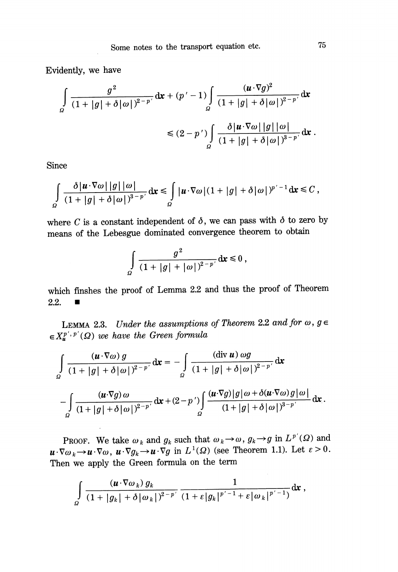Evidently, we have

$$
\int_{\Omega} \frac{g^2}{(1+|g|+\delta|\omega|)^{2-p'}} d\mathbf{x} + (p'-1) \int_{\Omega} \frac{(u \cdot \nabla g)^2}{(1+|g|+\delta|\omega|)^{2-p'}} d\mathbf{x}
$$
  

$$
\leq (2-p') \int_{\Omega} \frac{\delta |u \cdot \nabla \omega| |g| |\omega|}{(1+|g|+\delta|\omega|)^{3-p'}} d\mathbf{x}.
$$

Since

$$
\int_{\Omega} \frac{\delta |\boldsymbol{u} \cdot \nabla \omega| |g| |\omega|}{(1+|g|+\delta |\omega|)^{3-p'}} d\mathbf{x} \leq \int_{\Omega} |\boldsymbol{u} \cdot \nabla \omega| (1+|g|+\delta |\omega|)^{p'-1} d\mathbf{x} \leq C,
$$

where C is a constant independent of  $\delta$ , we can pass with  $\delta$  to zero by means of the Lebesgue dominated convergence theorem to obtain

$$
\int\limits_{\varOmega} \frac{g^2}{(1+|g|+|\omega|)^{2-p^*}}{\rm d}x\leqslant 0\ ,
$$

which finshes the proof of Lemma 2.2 and thus the proof of Theorem  $2.2.$   $\blacksquare$ 

LEMMA 2.3. Under the assumptions of Theorem 2.2 and for  $\omega$ ,  $g$   $\in$  $\in X_{\mathbf{u}}^{p',p'}(\Omega)$  we have the Green formula

$$
\int_{\Omega} \frac{(\mathbf{u} \cdot \nabla \omega) g}{(1+|g|+\delta|\omega|)^{2-p'}} d\mathbf{x} = -\int_{\Omega} \frac{(\mathrm{div} \mathbf{u}) \omega g}{(1+|g|+\delta|\omega|)^{2-p'}} d\mathbf{x}
$$

$$
-\int_{\Omega} \frac{(\mathbf{u} \cdot \nabla g) \omega}{(1+|g|+\delta|\omega|)^{2-p'}} d\mathbf{x} + (2-p') \int_{\Omega} \frac{(\mathbf{u} \cdot \nabla g) |g| \omega + \delta(\mathbf{u} \cdot \nabla \omega) g |\omega|}{(1+|g|+\delta|\omega|)^{3-p'}} d\mathbf{x}.
$$

PROOF. We take  $\omega_k$  and  $g_k$  such that  $\omega_k \to \omega$ ,  $g_k \to g$  in  $L^{p'}(\Omega)$  and  $u \cdot \nabla \omega_k \to u \cdot \nabla \omega$ ,  $u \cdot \nabla g_k \to u \cdot \nabla g$  in  $L^1(\Omega)$  (see Theorem 1.1). Let  $\varepsilon > 0$ . Then we apply the Green formula on the term

$$
\int\limits_{\Omega} \frac{\left(\boldsymbol{u}\cdot\nabla\omega_{k}\right) g_{k}}{\left(1+|g_{k}|+\delta|\omega_{k}|\right)^{2-p'}} \frac{1}{\left(1+\varepsilon|g_{k}|^{p'-1}+\varepsilon|\omega_{k}|^{p'-1}\right)} \mathrm{d}\mathbf{x},
$$